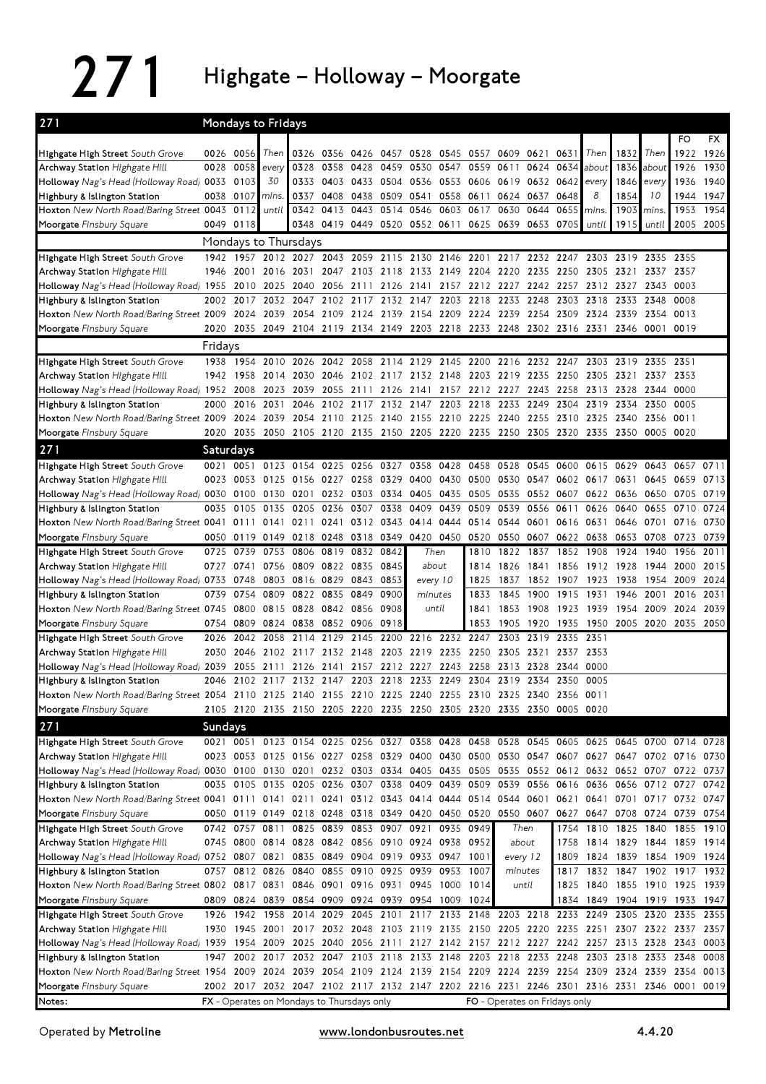## 271 Highgate – Holloway – Moorgate

| 271                                                                                                                                                       |           |                        | Mondays to Fridays |                                                                                           |                |                |                          |                                                                  |                        |                     |                   |              |                               |                |                   |                          |                                       |              |
|-----------------------------------------------------------------------------------------------------------------------------------------------------------|-----------|------------------------|--------------------|-------------------------------------------------------------------------------------------|----------------|----------------|--------------------------|------------------------------------------------------------------|------------------------|---------------------|-------------------|--------------|-------------------------------|----------------|-------------------|--------------------------|---------------------------------------|--------------|
|                                                                                                                                                           |           |                        |                    |                                                                                           |                |                |                          |                                                                  |                        |                     |                   |              |                               |                |                   |                          | FO                                    | FX           |
| Highgate High Street South Grove                                                                                                                          |           | 0026 0056<br>0028 0058 | Then               |                                                                                           | 0326 0356 0426 | 0358 0428      | 0457                     | 0528                                                             | 0545                   | 0557 0609<br>0559   |                   | 0621         | 0631                          | Then           | 1832              | Then                     | 1922                                  | 1926         |
| Archway Station Highgate Hill<br>Holloway Nag's Head (Holloway Road) 0033 0103                                                                            |           |                        | every<br>30        | 0328<br>0333                                                                              |                | 0403 0433 0504 | 0459                     | 0530                                                             | 0547<br>0536 0553 0606 |                     | 0611<br>0619 0632 | 0624         | 0634<br>0642                  | about<br>every | 1846              | 1836 about<br>every      | 1926<br>1936                          | 1930<br>1940 |
| Highbury & Islington Station                                                                                                                              |           | 0038 0107              | mins.              | 0337                                                                                      |                | 0408 0438      | 0509                     | 0541                                                             | 0558 0611              |                     | 0624 0637         |              | 0648                          | 8              | 1854              | 10                       | 1944 1947                             |              |
| Hoxton New North Road/Baring Street 0043                                                                                                                  |           | 0112                   | until              | 0342                                                                                      |                | 0413 0443      |                          | 0514 0546                                                        | 0603                   | 0617                | 0630              | 0644         | 0655                          | mins.          | 1903              | mins.                    | 1953                                  | 1954         |
| Moorgate Finsbury Square                                                                                                                                  |           | 0049 0118              |                    | 0348                                                                                      |                |                |                          | 0419 0449 0520 0552 0611 0625 0639 0653                          |                        |                     |                   |              | 0705                          | until          | 1915              | until                    | 2005 2005                             |              |
|                                                                                                                                                           |           |                        |                    | Mondays to Thursdays                                                                      |                |                |                          |                                                                  |                        |                     |                   |              |                               |                |                   |                          |                                       |              |
| Highgate High Street South Grove                                                                                                                          | 1942      | 1957                   |                    | 2012 2027                                                                                 | 2043           | 2059           | 2115                     | 2130                                                             | 2146                   | 2201                | 2217              | 2232         | 2247                          | 2303           | 2319              | 2335                     | 2355                                  |              |
| Archway Station Highgate Hill                                                                                                                             |           | 1946 2001              |                    | 2016 2031                                                                                 |                |                |                          | 2047 2103 2118 2133 2149 2204 2220 2235 2250 2305 2321 2337 2357 |                        |                     |                   |              |                               |                |                   |                          |                                       |              |
| Holloway Nag's Head (Holloway Road) 1955                                                                                                                  |           |                        | 2010 2025          | 2040                                                                                      |                | 2056 2111      |                          | 2126 2141 2157 2212 2227 2242 2257                               |                        |                     |                   |              |                               |                | 2312 2327 2343    |                          | 0003                                  |              |
| Highbury & Islington Station                                                                                                                              |           | 2002 2017              |                    | 2032 2047                                                                                 |                | 2102 2117      | 2132 2147                |                                                                  |                        | 2203 2218 2233      |                   | 2248         | 2303                          | 2318           | 2333 2348         |                          | 0008                                  |              |
| Hoxton New North Road/Baring Street 2009 2024 2039 2054 2109 2124                                                                                         |           |                        |                    |                                                                                           |                |                |                          | 2139 2154 2209 2224 2239 2254                                    |                        |                     |                   |              | 2309                          | 2324 2339 2354 |                   |                          | 0013                                  |              |
| Moorgate Finsbury Square                                                                                                                                  |           |                        |                    | 2020 2035 2049 2104 2119 2134 2149 2203 2218 2233 2248 2302 2316 2331                     |                |                |                          |                                                                  |                        |                     |                   |              |                               |                |                   | 2346 0001 0019           |                                       |              |
|                                                                                                                                                           | Fridays   | 1938 1954              | 2010               | 2026                                                                                      | 2042           | 2058           |                          |                                                                  |                        | 2200                | 2216              | 2232         |                               |                |                   |                          | 2351                                  |              |
| Highgate High Street South Grove<br>Archway Station Highgate Hill                                                                                         |           | 1942 1958              | 2014               | 2030                                                                                      | 2046           | 2102           | 2114<br>2117             | 2129<br>2132 2148                                                | 2145                   | 2203                | 2219              | 2235         | 2247<br>2250                  | 2303<br>2305   | 2319<br>2321      | 2335<br>2337             | 2353                                  |              |
| Holloway Nag's Head (Holloway Road) 1952 2008                                                                                                             |           |                        | 2023               | 2039                                                                                      |                | 2055 2111      | 2126                     | 2141 2157 2212 2227 2243                                         |                        |                     |                   |              | 2258                          | 2313           | 2328 2344         |                          | 0000                                  |              |
| Highbury & Islington Station                                                                                                                              | 2000      | 2016                   | 2031               | 2046                                                                                      | 2102 2117      |                | 2132 2147                |                                                                  | 2203                   | 2218 2233           |                   | 2249         | 2304                          | 2319           | 2334              | 2350                     | 0005                                  |              |
| Hoxton New North Road/Baring Street 2009 2024 2039                                                                                                        |           |                        |                    |                                                                                           |                |                |                          | 2054 2110 2125 2140 2155 2210 2225 2240 2255                     |                        |                     |                   |              |                               | 2310 2325 2340 |                   | 2356                     | 0011                                  |              |
| Moorgate Finsbury Square                                                                                                                                  |           |                        |                    | 2020 2035 2050 2105 2120 2135 2150 2205 2220 2235 2250 2305 2320 2335 2350 0005           |                |                |                          |                                                                  |                        |                     |                   |              |                               |                |                   |                          | 0020                                  |              |
| 271                                                                                                                                                       | Saturdays |                        |                    |                                                                                           |                |                |                          |                                                                  |                        |                     |                   |              |                               |                |                   |                          |                                       |              |
| Highgate High Street South Grove                                                                                                                          |           |                        |                    | 0021 0051 0123 0154 0225 0256                                                             |                |                | 0327                     | 0358 0428                                                        |                        | 0458 0528           |                   | 0545         | 0600                          | 0615           | 0629              | 0643                     | 0657                                  | 0711         |
| Archway Station Highgate Hill                                                                                                                             |           | 0023 0053 0125         |                    | 0156                                                                                      | 0227 0258      |                | 0329                     | 0400                                                             | 0430                   | 0500                | 0530              | 0547         | 0602 0617                     |                | 0631              | 0645                     | 0659                                  | 0713         |
| Holloway Nag's Head (Holloway Road) 0030 0100                                                                                                             |           |                        | 0130               | 0201                                                                                      |                | 0232 0303      | 0334                     | 0405 0435                                                        |                        | 0505                | 0535              | 0552         | 0607                          | 0622           | 0636              | 0650                     | 0705                                  | 0719         |
| Highbury & Islington Station                                                                                                                              | 0035      | 0105                   | 0135               | 0205                                                                                      | 0236           | 0307           | 0338                     | 0409                                                             | 0439                   | 0509                | 0539              | 0556         | 0611                          | 0626           | 0640              | 0655                     | 0710                                  | 0724         |
| Hoxton New North Road/Baring Street 0041                                                                                                                  | 0050      | 0111                   | 0141               | 0211<br>0119 0149 0218 0248 0318 0349                                                     | 0241           | 0312           | 0343                     | 0414 0444<br>0420 0450                                           |                        | 0514 0544           | 0520 0550         | 0601<br>0607 | 0616<br>0622 0638             | 0631           | 0646<br>0653 0708 | 0701                     | 0716<br>0723                          | 0730<br>0739 |
| Moorgate Finsbury Square<br>Highgate High Street South Grove                                                                                              | 0725      | 0739                   | 0753               | 0806                                                                                      | 0819           | 0832           | 0842                     | Then                                                             |                        | 1810                | 1822              | 1837         | 1852                          | 1908           | 1924              | 1940                     | 1956                                  | 2011         |
| Archway Station Highgate Hill                                                                                                                             |           | 0727 0741              | 0756               | 0809                                                                                      | 0822 0835      |                | 0845                     | about                                                            |                        | 1814                | 1826              | 1841         | 1856                          | 1912 1928      |                   | 1944                     | 2000                                  | 2015         |
| Holloway Nag's Head (Holloway Road) 0733                                                                                                                  |           | 0748                   | 0803               | 0816                                                                                      | 0829           | 0843 0853      |                          | every 10                                                         |                        | 1825                | 1837              | 1852         | 1907                          | 1923           | 1938              | 1954                     | 2009                                  | 2024         |
| Highbury & Islington Station                                                                                                                              | 0739      | 0754                   | 0809               | 0822                                                                                      | 0835           | 0849           | 0900                     | minutes                                                          |                        | 1833                | 1845              | 1900         | 1915                          | 1931           | 1946              | 2001                     | 2016                                  | 2031         |
| Hoxton New North Road/Baring Street 0745                                                                                                                  |           | 0800                   | 0815 0828          |                                                                                           | 0842 0856      |                | 0908                     | until                                                            |                        | 1841                | 1853              | 1908         | 1923                          | 1939           | 1954              | 2009                     | 2024                                  | 2039         |
| Moorgate Finsbury Square                                                                                                                                  |           | 0754 0809              | 0824 0838          |                                                                                           | 0852 0906      |                | 0918                     |                                                                  |                        | 1853                | 1905              | 1920         | 1935                          | 1950           | 2005 2020         |                          | 2035                                  | 2050         |
| Highgate High Street South Grove                                                                                                                          | 2026      | 2042                   | 2058               | 2114                                                                                      | 2129           | 2145           | 2200                     | 2216                                                             | 2232                   | 2247                | 2303              | 2319         | 2335                          | 2351           |                   |                          |                                       |              |
| Archway Station <i>Highgate Hill</i>                                                                                                                      | 2030      | 2046                   |                    | 2102 2117                                                                                 | 2132 2148      |                | 2203                     | 2219 2235                                                        |                        | 2250                | 2305              | 2321         | 2337                          | 2353           |                   |                          |                                       |              |
| Holloway Nag's Head (Holloway Road) 2039<br>Highbury & Islington Station                                                                                  |           | 2055                   | 2111               | 2126<br>2046 2102 2117 2132 2147 2203 2218 2233 2249 2304 2319 2334 2350 0005             | 2141           | 2157           | 2212                     | 2227 2243                                                        |                        | 2258                | 2313 2328         |              | 2344                          | 0000           |                   |                          |                                       |              |
| Hoxton New North Road/Baring Street 2054 2110 2125 2140 2155 2210 2225 2240 2255 2310 2325 2340                                                           |           |                        |                    |                                                                                           |                |                |                          |                                                                  |                        |                     |                   |              | 2356 0011                     |                |                   |                          |                                       |              |
| Moorgate Finsbury Square                                                                                                                                  |           |                        |                    | 2105 2120 2135 2150 2205 2220 2235 2250 2305 2320 2335 2350 0005 0020                     |                |                |                          |                                                                  |                        |                     |                   |              |                               |                |                   |                          |                                       |              |
| 271                                                                                                                                                       | Sundays   |                        |                    |                                                                                           |                |                |                          |                                                                  |                        |                     |                   |              |                               |                |                   |                          |                                       |              |
| Highgate High Street South Grove                                                                                                                          |           |                        |                    | 0021 0051 0123 0154 0225 0256 0327 0358 0428 0458 0528 0545 0605 0625 0645 0700 0714 0728 |                |                |                          |                                                                  |                        |                     |                   |              |                               |                |                   |                          |                                       |              |
| Archway Station <i>Highgate Hill</i>                                                                                                                      |           |                        |                    | 0023 0053 0125 0156 0227 0258 0329 0400 0430 0500 0530 0547 0607 0627 0647 0702 0716 0730 |                |                |                          |                                                                  |                        |                     |                   |              |                               |                |                   |                          |                                       |              |
| Holloway Nag's Head (Holloway Road) 0030 0100 0130 0201 0232 0303 0334 0405 0435 0505 0535 0552 0612 0632 0652 0707 0722 0737                             |           |                        |                    |                                                                                           |                |                |                          |                                                                  |                        |                     |                   |              |                               |                |                   |                          |                                       |              |
| Highbury & Islington Station                                                                                                                              |           |                        |                    | 0035 0105 0135 0205 0236 0307 0338 0409 0439 0509 0539 0556 0616 0636 0656 0712 0727      |                |                |                          |                                                                  |                        |                     |                   |              |                               |                |                   |                          |                                       | 0742         |
| Hoxton New North Road/Baring Street 0041 0111 0141 0211 0241 0312 0343 0414 0444 0514 0544 0601 0621 0641 0701 0717 0732 0747                             |           |                        |                    |                                                                                           |                |                |                          |                                                                  |                        |                     |                   |              |                               |                |                   |                          |                                       |              |
| Moorgate Finsbury Square                                                                                                                                  |           |                        |                    | 0050 0119 0149 0218 0248 0318 0349 0420 0450 0520 0550 0607                               |                |                |                          |                                                                  |                        |                     |                   |              | 0627                          |                | 0647 0708 0724    |                          | 0739 0754                             |              |
| Highgate High Street South Grove                                                                                                                          |           | 0742 0757              | 0811               |                                                                                           |                |                | 0825 0839 0853 0907 0921 |                                                                  | 0935                   | 0949                | Then              |              | 1754                          |                | 1810 1825 1840    |                          | 1855 1910                             |              |
| Archway Station Highgate Hill<br>Holloway Nag's Head (Holloway Road) 0752 0807 0821 0835 0849 0904 0919 0933 0947 1001                                    |           |                        |                    | 0745 0800 0814 0828 0842 0856 0910 0924 0938                                              |                |                |                          |                                                                  |                        | 0952                | about<br>every 12 |              | 1758<br>1809                  | 1814 1829 1844 |                   |                          | 1859 1914<br>1824 1839 1854 1909 1924 |              |
| Highbury & Islington Station                                                                                                                              |           |                        |                    | 0757 0812 0826 0840 0855 0910 0925 0939 0953 1007                                         |                |                |                          |                                                                  |                        |                     | minutes           |              | 1817                          |                |                   |                          | 1832 1847 1902 1917 1932              |              |
| Hoxton New North Road/Baring Street 0802 0817 0831 0846 0901 0916 0931 0945 1000 1014                                                                     |           |                        |                    |                                                                                           |                |                |                          |                                                                  |                        |                     |                   | until        |                               |                |                   |                          | 1825 1840 1855 1910 1925 1939         |              |
| Moorgate Finsbury Square                                                                                                                                  |           |                        |                    | 0809 0824 0839 0854 0909 0924 0939 0954 1009                                              |                |                |                          |                                                                  |                        | 1024                |                   |              |                               |                |                   | 1834 1849 1904 1919 1933 |                                       | 1947         |
| Highgate High Street South Grove                                                                                                                          | 1926      | 1942                   | 1958               | 2014                                                                                      |                | 2029 2045 2101 |                          | 2117 2133                                                        |                        | 2148 2203 2218 2233 |                   |              |                               | 2249           | 2305 2320         |                          | 2335                                  | 2355         |
| Archway Station Highgate Hill                                                                                                                             |           |                        |                    | 1930 1945 2001 2017 2032 2048 2103 2119 2135 2150 2205 2220 2235 2251 2307 2322 2337 2357 |                |                |                          |                                                                  |                        |                     |                   |              |                               |                |                   |                          |                                       |              |
| Holloway Nag's Head (Holloway Road) 1939 1954 2009 2025 2040 2056 2111 2127 2142 2157 2212 2227 2242 2257 2313 2328 2343 0003                             |           |                        |                    |                                                                                           |                |                |                          |                                                                  |                        |                     |                   |              |                               |                |                   |                          |                                       |              |
| Highbury & Islington Station                                                                                                                              |           |                        |                    | 1947 2002 2017 2032 2047 2103 2118 2133 2148 2203 2218 2233 2248 2303 2318 2333 2348      |                |                |                          |                                                                  |                        |                     |                   |              |                               |                |                   |                          |                                       | 0008         |
| Hoxton New North Road/Baring Street 1954 2009 2024 2039 2054 2109 2124 2139 2154 2209 2224 2239 2254 2309 2324 2339 2354 0013<br>Moorgate Finsbury Square |           |                        |                    | 2002 2017 2032 2047 2102 2117 2132 2147 2202 2216 2231 2246 2301 2316 2331 2346 0001 0019 |                |                |                          |                                                                  |                        |                     |                   |              |                               |                |                   |                          |                                       |              |
| Notes:                                                                                                                                                    |           |                        |                    | <b>FX</b> - Operates on Mondays to Thursdays only                                         |                |                |                          |                                                                  |                        |                     |                   |              | FO - Operates on Fridays only |                |                   |                          |                                       |              |